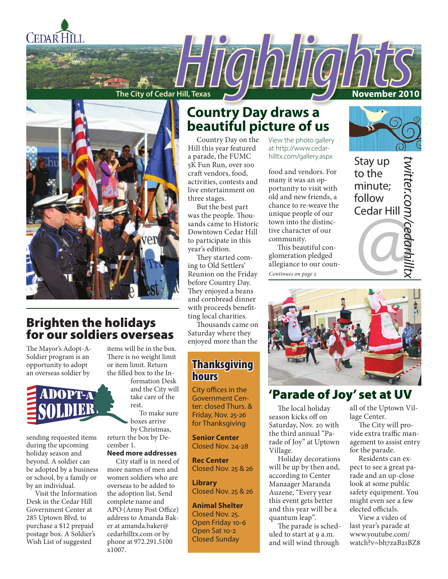

**The City of Cedar Hill, Texas November 2010** 



## Brighten the holidays for our soldiers overseas

The Mayor's Adopt-A-Soldier program is an opportunity to adopt an overseas soldier by

sending requested items during the upcoming holiday season and beyond. A soldier can be adopted by a business or school, by a family or by an individual.

Visit the Information Desk in the Cedar Hill Government Center at 285 Uptown Blvd. to purchase a \$12 prepaid postage box. A Soldier's Wish List of suggested

items will be in the box. There is no weight limit or item limit. Return the filled box to the In-

> and the City will take care of the rest.

return the box by De-

**Need more addresses**

more names of men and women soldiers who are overseas to be added to the adoption list. Send complete name and APO (Army Post Office) address to Amanda Baker at amanda.baker@ cedarhilltx.com or by phone at 972.291.5100 x1007.

## **Country Day draws a beautiful picture of us**

Country Day on the Hill this year featured a parade, the FUMC 5K Fun Run, over 100 craft vendors, food, activities, contests and live entertainment on three stages.

But the best part was the people. Thousands came to Historic Downtown Cedar Hill to participate in this year's edition.

They started coming to Old Settlers' Reunion on the Friday before Country Day. They enjoyed a beans and cornbread dinner with proceeds benefitting local charities.

Thousands came on Saturday where they enjoyed more than the

## **Thanksgiving** hours

City offices in the Government Center: closed Thurs. & Friday, Nov. 25-26 for Thanksgiving

**Senior Center**  Closed Nov. 24-28

**Rec Center** Closed Nov. 25 & 26

**Library** Closed Nov. 25 & 26

**Animal Shelter**  Closed Nov. 25. Open Friday 10-6 Open Sat 10-2 Closed Sunday

View the photo gallery at http://www.cedarhilltx.com/gallery.aspx

food and vendors. For many it was an opportunity to visit with old and new friends, a chance to re-weave the unique people of our town into the distinctive character of our community.

This beautiful conglomeration pledged allegiance to our coun-

*Continues on page 2*



Stay up *twitter.com/cedarhilltx* WItter.com/ced to the minute; follow Cedar Hill



## 'Parade of Joy' set at UV

The local holiday season kicks off on Saturday, Nov. 20 with the third annual "Parade of Joy" at Uptown Village.

Holiday decorations will be up by then and, according to Center Manaager Maranda Auzene, "Every year this event gets better and this year will be a quantum leap".

The parade is scheduled to start at 9 a.m. and will wind through all of the Uptown Village Center.

The City will provide extra traffic management to assist entry for the parade.

Residents can expect to see a great parade and an up-close look at some public safety equipment. You might even see a few elected officials.

View a video of last year's parade at www.youtube.com/ watch?v=bh7zaB21BZ8

formation Desk To make sure

boxes arrive by Christmas,

## cember 1.

City staff is in need of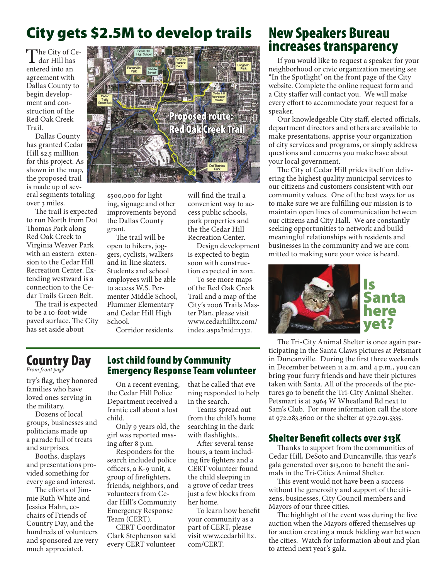## City gets \$2.5M to develop trails

The City of Cedar Hill has entered into an agreement with Dallas County to begin development and construction of the Red Oak Creek Trail.

Dallas County has granted Cedar Hill \$2.5 milllion for this project. As shown in the map, the proposed trail is made up of sev-

eral segments totaling over 3 miles.

The trail is expected to run North from Dot Thomas Park along Red Oak Creek to Virginia Weaver Park with an eastern extension to the Cedar Hill Recreation Center. Extending westward is a connection to the Cedar Trails Green Belt.

The trail is expected to be a 10-foot-wide paved surface. The City has set aside about



\$5o0,000 for lighting, signage and other improvements beyond the Dallas County grant.

The trail will be open to hikers, joggers, cyclists, walkers and in-line skaters. Students and school employees will be able to access W.S. Permenter Middle School, Plummer Elementary and Cedar Hill High School.

Corridor residents

will find the trail a convenient way to access public schools, park properties and the the Cedar Hill Recreation Center.

Design development is expected to begin soon with construction expected in 2012.

To see more maps of the Red Oak Creek Trail and a map of the City's 2006 Trails Master Plan, please visit www.cedarhilltx.com/ index.aspx?nid=1332.

## New Speakers Bureau increases transparency

If you would like to request a speaker for your neighborhood or civic organization meeting see "In the Spotlight' on the front page of the City website. Complete the online request form and a City staffer will contact you. We will make every effort to accommodate your request for a speaker.

Our knowledgeable City staff, elected officials, department directors and others are available to make presentations, apprise your organization of city services and programs, or simply address questions and concerns you make have about your local government.

The City of Cedar Hill prides itself on delivering the highest quality municipal services to our citizens and customers consistent with our community values. One of the best ways for us to make sure we are fulfilling our mission is to maintain open lines of communication between our citizens and City Hall. We are constantly seeking opportunities to network and build meaningful relationships with residents and businesses in the community and we are committed to making sure your voice is heard.



The Tri-City Animal Shelter is once again participating in the Santa Claws pictures at Petsmart in Duncanville. During the first three weekends in December between 11 a.m. and 4 p.m., you can bring your furry friends and have their pictures taken with Santa. All of the proceeds of the pictures go to benefit the Tri-City Animal Shelter. Petsmart is at 2964 W Wheatland Rd next to Sam's Club. For more information call the store at 972.283.3600 or the shelter at 972.291.5335.

#### Shelter Benefit collects over \$13K

Thanks to support from the communities of Cedar Hill, DeSoto and Duncanville, this year's gala generated over \$13,000 to benefit the animals in the Tri-Cities Animal Shelter.

This event would not have been a success without the generosity and support of the citizens, businesses, City Council members and Mayors of our three cities.

The highlight of the event was during the live auction when the Mayors offered themselves up for auction creating a mock bidding war between the cities. Watch for information about and plan to attend next year's gala.

## Country Day

*From front page*

try's flag, they honored families who have loved ones serving in the military.

Dozens of local groups, businesses and politicians made up a parade full of treats and surprises.

Booths, displays and presentations provided something for every age and interest.

The efforts of Iimmie Ruth White and Jessica Hahn, cochairs of Friends of Country Day, and the hundreds of volunteers and sponsored are very much appreciated.

#### Lost child found by Community Emergency Response Team volunteer

On a recent evening, the Cedar Hill Police Department received a frantic call about a lost child.

Only 9 years old, the girl was reported mssing after 8 p.m.

Responders for the search included police officers, a K-9 unit, a group of firefighters, friends, neighbors, and volunteers from Cedar Hill's Community Emergency Response Team (CERT).

CERT Coordinator Clark Stephenson said every CERT volunteer

that he called that evening responded to help in the search.

Teams spread out from the child's home searching in the dark with flashlights..

After several tense hours, a team including fire fighters and a CERT volunteer found the child sleeping in a grove of cedar trees just a few blocks from her home.

To learn how benefit your community as a part of CERT, please visit www.cedarhilltx. com/CERT.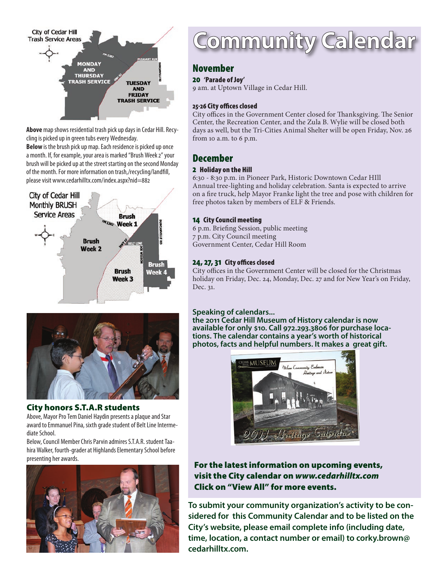

**Above** map shows residential trash pick up days in Cedar Hill. Recycling is picked up in green tubs every Wednesday.

**Below** is the brush pick up map. Each residence is picked up once a month. If, for example, your area is marked "Brush Week 2" your brush will be picked up at the street starting on the second Monday of the month. For more information on trash,/recycling/landfill, please visit www.cedarhilltx.com/index.aspx?nid=882





### City honors S.T.A.R students

Above, Mayor Pro Tem Daniel Haydin presents a plaque and Star award to Emmanuel Pina, sixth grade student of Belt Line Intermediate School.

Below, Council Member Chris Parvin admires S.T.A.R. student Taahira Walker, fourth-grader at Highlands Elementary School before presenting her awards.



## **Community Calendar**

### November

#### 20 'Parade of Joy'

9 am. at Uptown Village in Cedar Hill.

#### 25-26 City offices closed

City offices in the Government Center closed for Thanksgiving. The Senior Center, the Recreation Center, and the Zula B. Wylie will be closed both days as well, but the Tri-Cities Animal Shelter will be open Friday, Nov. 26 from 10 a.m. to 6 p.m.

### December

#### 2 Holiday on the Hill

6:30 - 8:30 p.m. in Pioneer Park, Historic Downtown Cedar HIll Annual tree-lighting and holiday celebration. Santa is expected to arrive on a fire truck, help Mayor Franke light the tree and pose with children for free photos taken by members of ELF & Friends.

#### 14 City Council meeting

6 p.m. Briefing Session, public meeting 7 p.m. City Council meeting Government Center, Cedar Hill Room

#### 24, 27, 31 City offices closed

City offices in the Government Center will be closed for the Christmas holiday on Friday, Dec. 24, Monday, Dec. 27 and for New Year's on Friday, Dec. 31.

#### **Speaking of calendars...**

**the 2011 Cedar Hill Museum of History calendar is now available for only \$10. Call 972.293.3806 for purchase loca- tions. The calendar contains a year's worth of historical photos, facts and helpful numbers. It makes a great gift.**



#### For the latest information on upcoming events, visit the City calendar on *www.cedarhilltx.com* Click on "View All" for more events.

**To submit your community organization's activity to be considered for this Community Calendar and to be listed on the City's website, please email complete info (including date, time, location, a contact number or email) to corky.brown@ cedarhilltx.com.**